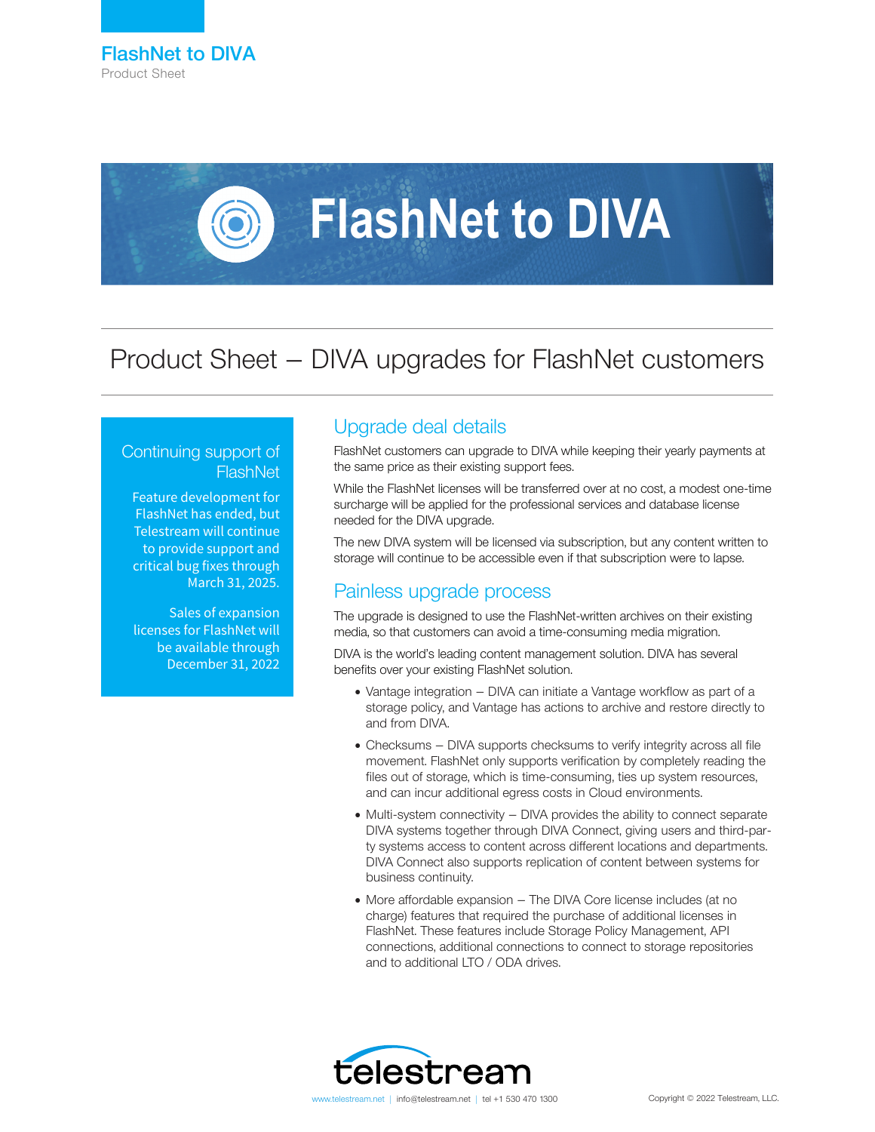

# **FlashNet to DIVA**

# Product Sheet – DIVA upgrades for FlashNet customers

### Continuing support of **FlashNet**

Feature development for FlashNet has ended, but Telestream will continue to provide support and critical bug fixes through March 31, 2025.

Sales of expansion licenses for FlashNet will be available through December 31, 2022

# Upgrade deal details

FlashNet customers can upgrade to DIVA while keeping their yearly payments at the same price as their existing support fees.

While the FlashNet licenses will be transferred over at no cost, a modest one-time surcharge will be applied for the professional services and database license needed for the DIVA upgrade.

The new DIVA system will be licensed via subscription, but any content written to storage will continue to be accessible even if that subscription were to lapse.

# Painless upgrade process

The upgrade is designed to use the FlashNet-written archives on their existing media, so that customers can avoid a time-consuming media migration.

DIVA is the world's leading content management solution. DIVA has several benefits over your existing FlashNet solution.

- Vantage integration DIVA can initiate a Vantage workflow as part of a storage policy, and Vantage has actions to archive and restore directly to and from DIVA.
- Checksums DIVA supports checksums to verify integrity across all file movement. FlashNet only supports verification by completely reading the files out of storage, which is time-consuming, ties up system resources, and can incur additional egress costs in Cloud environments.
- Multi-system connectivity DIVA provides the ability to connect separate DIVA systems together through DIVA Connect, giving users and third-party systems access to content across different locations and departments. DIVA Connect also supports replication of content between systems for business continuity.
- More affordable expansion The DIVA Core license includes (at no charge) features that required the purchase of additional licenses in FlashNet. These features include Storage Policy Management, API connections, additional connections to connect to storage repositories and to additional LTO / ODA drives.